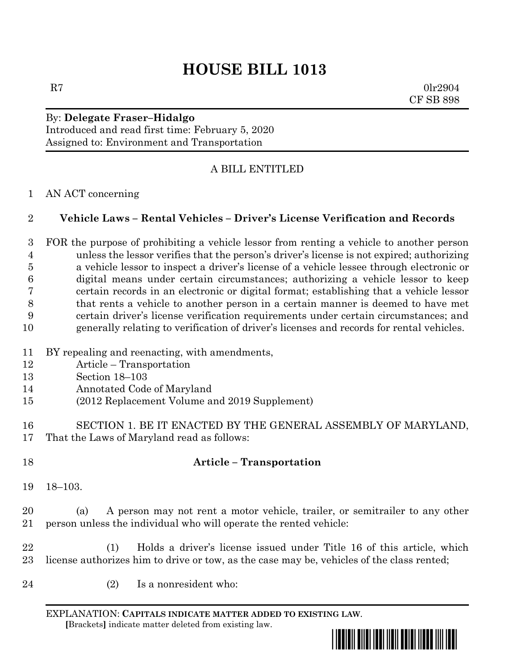# **HOUSE BILL 1013**

 $R7$  0lr2904 CF SB 898

#### By: **Delegate Fraser–Hidalgo** Introduced and read first time: February 5, 2020 Assigned to: Environment and Transportation

# A BILL ENTITLED

### AN ACT concerning

## **Vehicle Laws – Rental Vehicles – Driver's License Verification and Records**

 FOR the purpose of prohibiting a vehicle lessor from renting a vehicle to another person unless the lessor verifies that the person's driver's license is not expired; authorizing a vehicle lessor to inspect a driver's license of a vehicle lessee through electronic or digital means under certain circumstances; authorizing a vehicle lessor to keep certain records in an electronic or digital format; establishing that a vehicle lessor that rents a vehicle to another person in a certain manner is deemed to have met certain driver's license verification requirements under certain circumstances; and generally relating to verification of driver's licenses and records for rental vehicles.

- BY repealing and reenacting, with amendments,
- Article Transportation
- Section 18–103
- Annotated Code of Maryland
- (2012 Replacement Volume and 2019 Supplement)
- SECTION 1. BE IT ENACTED BY THE GENERAL ASSEMBLY OF MARYLAND, That the Laws of Maryland read as follows:
- 

# **Article – Transportation**

18–103.

 (a) A person may not rent a motor vehicle, trailer, or semitrailer to any other person unless the individual who will operate the rented vehicle:

 (1) Holds a driver's license issued under Title 16 of this article, which license authorizes him to drive or tow, as the case may be, vehicles of the class rented;

(2) Is a nonresident who:

EXPLANATION: **CAPITALS INDICATE MATTER ADDED TO EXISTING LAW**.  **[**Brackets**]** indicate matter deleted from existing law.

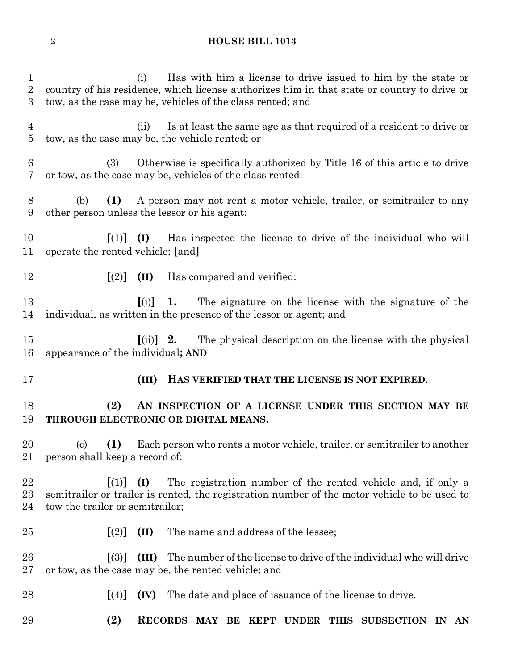## **HOUSE BILL 1013**

| $\mathbf{1}$<br>$\overline{2}$<br>3 | Has with him a license to drive issued to him by the state or<br>(i)<br>country of his residence, which license authorizes him in that state or country to drive or<br>tow, as the case may be, vehicles of the class rented; and |
|-------------------------------------|-----------------------------------------------------------------------------------------------------------------------------------------------------------------------------------------------------------------------------------|
| $\overline{4}$<br>$\overline{5}$    | Is at least the same age as that required of a resident to drive or<br>(ii)<br>tow, as the case may be, the vehicle rented; or                                                                                                    |
| $6\phantom{.}6$<br>7                | Otherwise is specifically authorized by Title 16 of this article to drive<br>(3)<br>or tow, as the case may be, vehicles of the class rented.                                                                                     |
| 8<br>9                              | A person may not rent a motor vehicle, trailer, or semitrailer to any<br>(b)<br>(1)<br>other person unless the lessor or his agent:                                                                                               |
| 10<br>11                            | Has inspected the license to drive of the individual who will<br>$\begin{bmatrix} (1) \\ 1 \end{bmatrix}$ $\begin{bmatrix} (I) \\ 1 \end{bmatrix}$<br>operate the rented vehicle; [and]                                           |
| 12                                  | $\lceil (2) \rceil$<br>(II)<br>Has compared and verified:                                                                                                                                                                         |
| 13<br>14                            | The signature on the license with the signature of the<br>(i)<br>1.<br>individual, as written in the presence of the lessor or agent; and                                                                                         |
| $15\,$<br>16                        | The physical description on the license with the physical<br>$\left[ \text{(ii)} \right]$ 2.<br>appearance of the individual; AND                                                                                                 |
| 17                                  | HAS VERIFIED THAT THE LICENSE IS NOT EXPIRED.<br>(III)                                                                                                                                                                            |
| 18<br>19                            | (2)<br>AN INSPECTION OF A LICENSE UNDER THIS SECTION MAY BE<br>THROUGH ELECTRONIC OR DIGITAL MEANS.                                                                                                                               |
| 20<br>21                            | (1)<br>Each person who rents a motor vehicle, trailer, or semitrailer to another<br>$\left( \mathrm{c} \right)$<br>person shall keep a record of:                                                                                 |
| 22<br>$^{23}$<br>24                 | The registration number of the rented vehicle and, if only a<br>$\vert(1)\vert$<br>(I)<br>semitrailer or trailer is rented, the registration number of the motor vehicle to be used to<br>tow the trailer or semitrailer;         |
| $25\,$                              | The name and address of the lessee;<br>(II)<br>$\lfloor (2) \rfloor$                                                                                                                                                              |
| $26\,$<br>$27\,$                    | The number of the license to drive of the individual who will drive<br>$\lceil(3)\rceil$<br>(III)<br>or tow, as the case may be, the rented vehicle; and                                                                          |
| 28                                  | The date and place of issuance of the license to drive.<br>(IV)<br>$\lfloor (4) \rfloor$                                                                                                                                          |
| 29                                  | (2)<br><b>RECORDS</b><br>MAY BE KEPT<br>THIS SUBSECTION<br><b>UNDER</b><br>IN.<br>AN                                                                                                                                              |
|                                     |                                                                                                                                                                                                                                   |